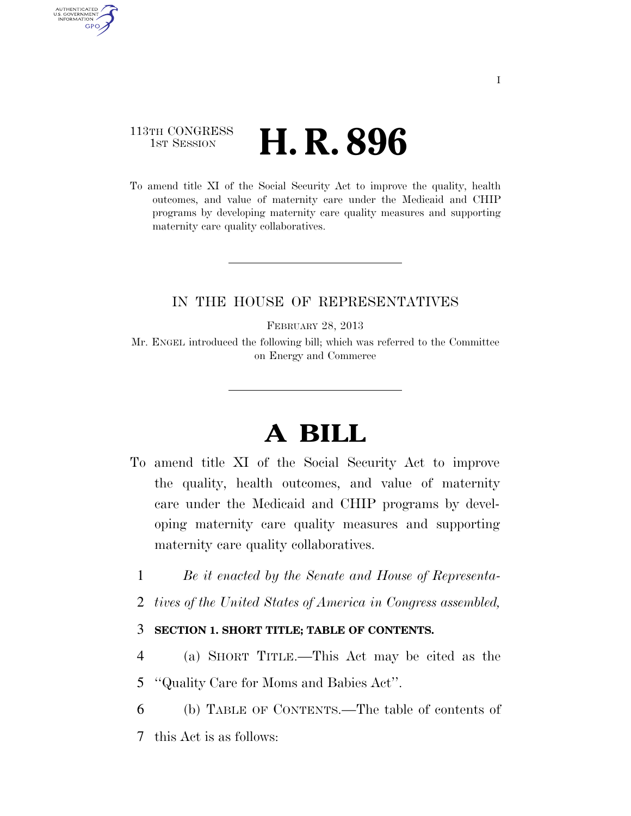### 113TH CONGRESS **1st Session H. R. 896**

AUTHENTICATED U.S. GOVERNMENT **GPO** 

> To amend title XI of the Social Security Act to improve the quality, health outcomes, and value of maternity care under the Medicaid and CHIP programs by developing maternity care quality measures and supporting maternity care quality collaboratives.

### IN THE HOUSE OF REPRESENTATIVES

FEBRUARY 28, 2013

Mr. ENGEL introduced the following bill; which was referred to the Committee on Energy and Commerce

# **A BILL**

- To amend title XI of the Social Security Act to improve the quality, health outcomes, and value of maternity care under the Medicaid and CHIP programs by developing maternity care quality measures and supporting maternity care quality collaboratives.
	- 1 *Be it enacted by the Senate and House of Representa-*
	- 2 *tives of the United States of America in Congress assembled,*

#### 3 **SECTION 1. SHORT TITLE; TABLE OF CONTENTS.**

- 4 (a) SHORT TITLE.—This Act may be cited as the
- 5 ''Quality Care for Moms and Babies Act''.
- 6 (b) TABLE OF CONTENTS.—The table of contents of
- 7 this Act is as follows: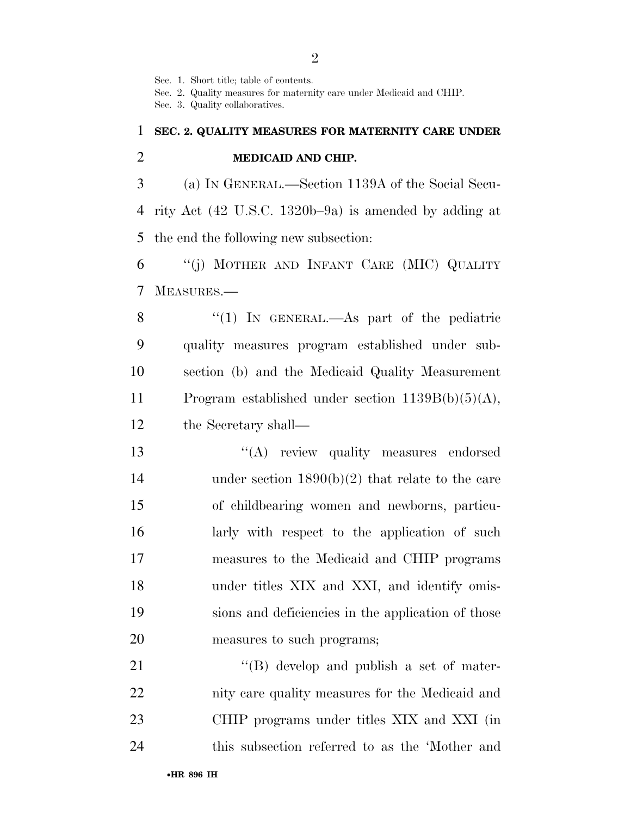Sec. 1. Short title; table of contents.

Sec. 2. Quality measures for maternity care under Medicaid and CHIP.

Sec. 3. Quality collaboratives.

## **SEC. 2. QUALITY MEASURES FOR MATERNITY CARE UNDER MEDICAID AND CHIP.**

 (a) IN GENERAL.—Section 1139A of the Social Secu- rity Act (42 U.S.C. 1320b–9a) is amended by adding at the end the following new subsection:

 ''(j) MOTHER AND INFANT CARE (MIC) QUALITY MEASURES.—

8 "(1) IN GENERAL.—As part of the pediatric quality measures program established under sub- section (b) and the Medicaid Quality Measurement Program established under section 1139B(b)(5)(A), the Secretary shall—

 $\langle (A)$  review quality measures endorsed under section 1890(b)(2) that relate to the care of childbearing women and newborns, particu- larly with respect to the application of such measures to the Medicaid and CHIP programs 18 under titles XIX and XXI, and identify omis- sions and deficiencies in the application of those measures to such programs;

21 ''(B) develop and publish a set of mater- nity care quality measures for the Medicaid and CHIP programs under titles XIX and XXI (in this subsection referred to as the 'Mother and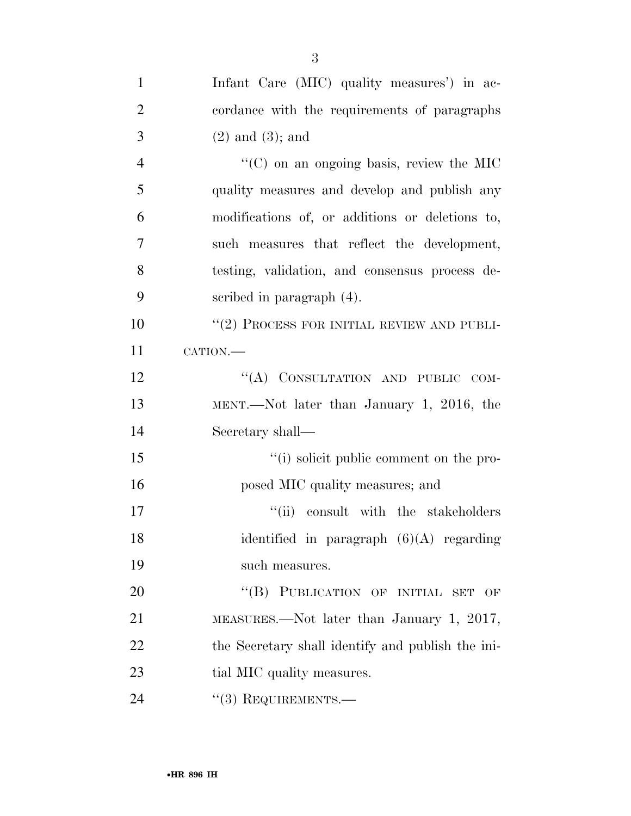| $\mathbf{1}$   | Infant Care (MIC) quality measures') in ac-       |
|----------------|---------------------------------------------------|
| $\overline{2}$ | cordance with the requirements of paragraphs      |
| 3              | $(2)$ and $(3)$ ; and                             |
| $\overline{4}$ | $\lq\lq$ (C) on an ongoing basis, review the MIC  |
| 5              | quality measures and develop and publish any      |
| 6              | modifications of, or additions or deletions to,   |
| 7              | such measures that reflect the development,       |
| 8              | testing, validation, and consensus process de-    |
| 9              | scribed in paragraph $(4)$ .                      |
| 10             | "(2) PROCESS FOR INITIAL REVIEW AND PUBLI-        |
| 11             | CATION.                                           |
| 12             | "(A) CONSULTATION AND PUBLIC COM-                 |
| 13             | MENT.—Not later than January 1, 2016, the         |
| 14             | Secretary shall-                                  |
| 15             | "(i) solicit public comment on the pro-           |
| 16             | posed MIC quality measures; and                   |
| 17             | "(ii) consult with the stakeholders               |
| 18             | identified in paragraph $(6)(A)$ regarding        |
| 19             | such measures.                                    |
| 20             | "(B) PUBLICATION OF INITIAL SET<br>OF             |
| 21             | MEASURES.—Not later than January 1, 2017,         |
| 22             | the Secretary shall identify and publish the ini- |
| 23             | tial MIC quality measures.                        |
| 24             | $``(3)$ REQUIREMENTS.—                            |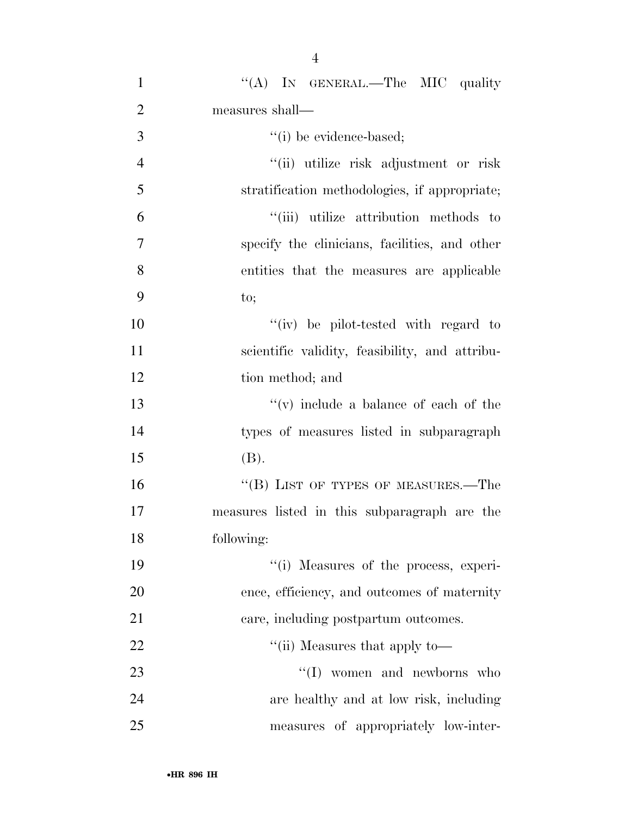| $\mathbf{1}$   | "(A) IN GENERAL.—The MIC quality               |
|----------------|------------------------------------------------|
| $\overline{2}$ | measures shall—                                |
| 3              | "(i) be evidence-based;                        |
| $\overline{4}$ | "(ii) utilize risk adjustment or risk          |
| 5              | stratification methodologies, if appropriate;  |
| 6              | "(iii) utilize attribution methods to          |
| 7              | specify the clinicians, facilities, and other  |
| 8              | entities that the measures are applicable      |
| 9              | to;                                            |
| 10             | "(iv) be pilot-tested with regard to           |
| 11             | scientific validity, feasibility, and attribu- |
| 12             | tion method; and                               |
| 13             | $f'(v)$ include a balance of each of the       |
| 14             | types of measures listed in subparagraph       |
| 15             | (B).                                           |
| 16             | "(B) LIST OF TYPES OF MEASURES.—The            |
| 17             | measures listed in this subparagraph are the   |
| 18             | following:                                     |
| 19             | "(i) Measures of the process, experi-          |
| 20             | ence, efficiency, and outcomes of maternity    |
| 21             | care, including postpartum outcomes.           |
| 22             | "(ii) Measures that apply to—                  |
| 23             | $\lq\lq$ (I) women and newborns who            |
| 24             | are healthy and at low risk, including         |
| 25             | measures of appropriately low-inter-           |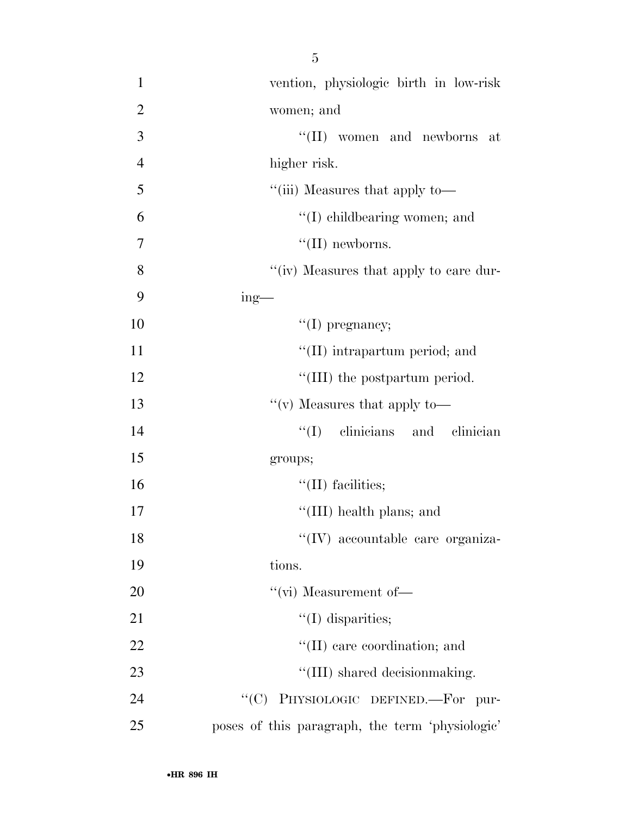| $\mathbf{1}$   | vention, physiologic birth in low-risk          |
|----------------|-------------------------------------------------|
| $\overline{2}$ | women; and                                      |
| 3              | "(II) women and newborns at                     |
| $\overline{4}$ | higher risk.                                    |
| 5              | "(iii) Measures that apply to—                  |
| 6              | $\lq\lq$ child bearing women; and               |
| $\overline{7}$ | $\lq\lq$ (II) newborns.                         |
| 8              | "(iv) Measures that apply to care dur-          |
| 9              | $ing$ —                                         |
| 10             | $\lq\lq$ (I) pregnancy;                         |
| 11             | "(II) intrapartum period; and                   |
| 12             | "(III) the postpartum period.                   |
| 13             | "(v) Measures that apply to-                    |
| 14             | $\lq\lq$ (I) clinicians and clinician           |
| 15             | groups;                                         |
| 16             | $\lq\lq$ (II) facilities;                       |
| $17\,$         | "(III) health plans; and                        |
| 18             | "(IV) accountable care organiza-                |
| 19             | tions.                                          |
| 20             | $``$ (vi) Measurement of—                       |
| 21             | $\lq\lq$ (I) disparities;                       |
| 22             | "(II) care coordination; and                    |
| 23             | "(III) shared decision making.                  |
| 24             | PHYSIOLOGIC DEFINED.-For pur-<br>``(C)          |
| 25             | poses of this paragraph, the term 'physiologic' |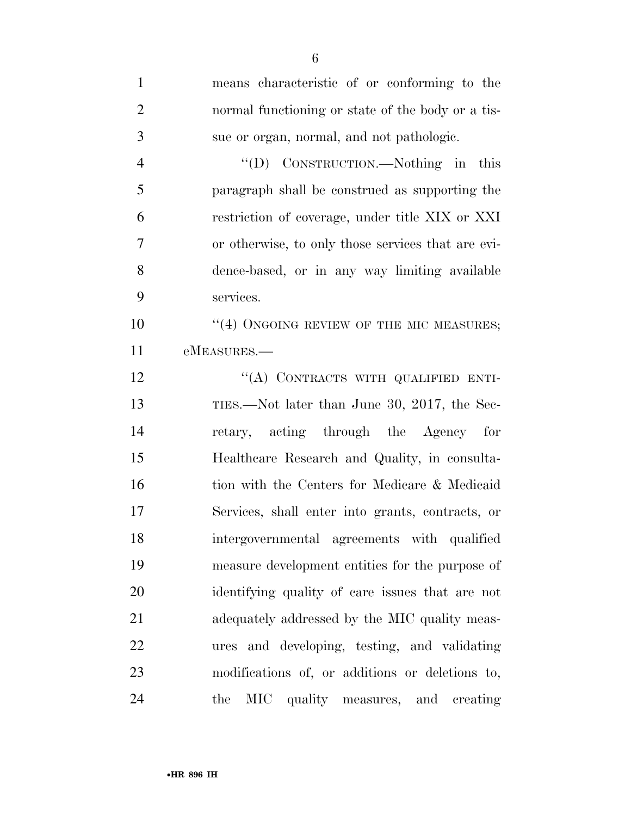| $\mathbf{1}$   | means characteristic of or conforming to the       |
|----------------|----------------------------------------------------|
| $\overline{2}$ | normal functioning or state of the body or a tis-  |
| 3              | sue or organ, normal, and not pathologic.          |
| $\overline{4}$ | "(D) CONSTRUCTION.—Nothing in this                 |
| 5              | paragraph shall be construed as supporting the     |
| 6              | restriction of coverage, under title XIX or XXI    |
| 7              | or otherwise, to only those services that are evi- |
| 8              | dence-based, or in any way limiting available      |
| 9              | services.                                          |
| 10             | $\cdot$ (4) ONGOING REVIEW OF THE MIC MEASURES;    |
| 11             | eMEASURES.—                                        |
| 12             | "(A) CONTRACTS WITH QUALIFIED ENTI-                |
| 13             | TIES.—Not later than June 30, 2017, the Sec-       |
| 14             | retary, acting through the Agency for              |
| 15             | Healthcare Research and Quality, in consulta-      |
| 16             | tion with the Centers for Medicare & Medicaid      |
| 17             | Services, shall enter into grants, contracts, or   |
| 18             | intergovernmental agreements with qualified        |
| 19             | measure development entities for the purpose of    |
| 20             | identifying quality of care issues that are not    |
| 21             | adequately addressed by the MIC quality meas-      |
| 22             | ures and developing, testing, and validating       |
| 23             | modifications of, or additions or deletions to,    |
| 24             | MIC<br>the<br>quality measures, and<br>creating    |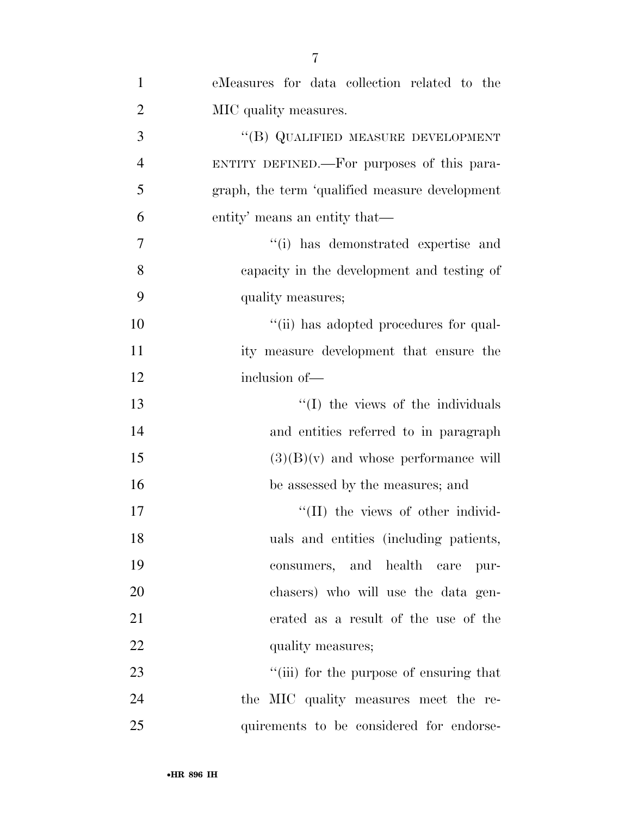| $\mathbf{1}$   | eMeasures for data collection related to the   |
|----------------|------------------------------------------------|
| $\overline{2}$ | MIC quality measures.                          |
| 3              | "(B) QUALIFIED MEASURE DEVELOPMENT             |
| $\overline{4}$ | ENTITY DEFINED.—For purposes of this para-     |
| 5              | graph, the term 'qualified measure development |
| 6              | entity' means an entity that—                  |
| 7              | "(i) has demonstrated expertise and            |
| 8              | capacity in the development and testing of     |
| 9              | quality measures;                              |
| 10             | "(ii) has adopted procedures for qual-         |
| 11             | ity measure development that ensure the        |
| 12             | inclusion of-                                  |
| 13             | "(I) the views of the individuals              |
| 14             | and entities referred to in paragraph          |
| 15             | $(3)(B)(v)$ and whose performance will         |
| 16             | be assessed by the measures; and               |
| 17             | "(II) the views of other individ-              |
| 18             | uals and entities (including patients,         |
| 19             | consumers, and health care pur-                |
| 20             | chasers) who will use the data gen-            |
| 21             | erated as a result of the use of the           |
| 22             | quality measures;                              |
| 23             | "(iii) for the purpose of ensuring that        |
| 24             | the MIC quality measures meet the re-          |
| 25             | quirements to be considered for endorse-       |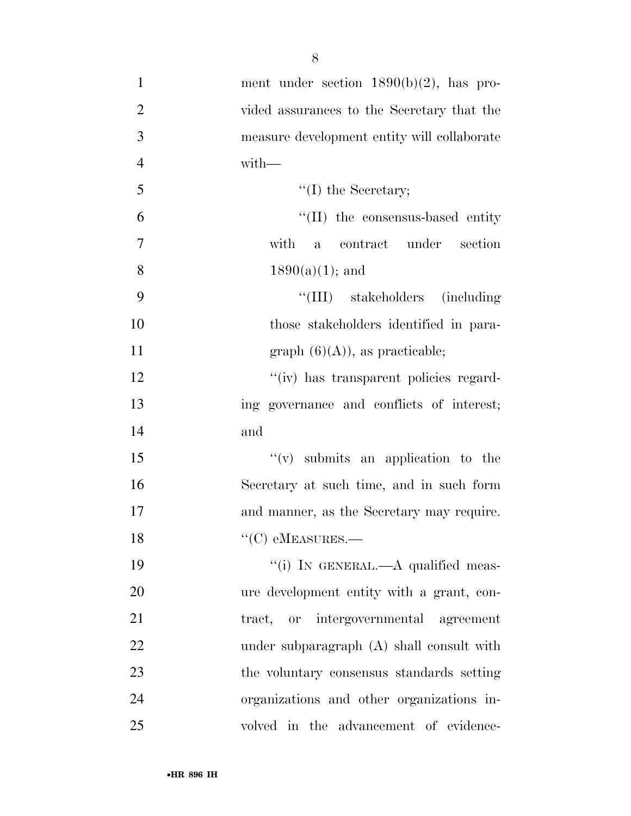| $\mathbf{1}$   | ment under section $1890(b)(2)$ , has pro-  |
|----------------|---------------------------------------------|
| $\overline{2}$ | vided assurances to the Secretary that the  |
| 3              | measure development entity will collaborate |
| $\overline{4}$ | $with-$                                     |
| 5              | $\lq\lq$ (I) the Secretary;                 |
| 6              | "(II) the consensus-based entity            |
| $\tau$         | with<br>a contract under section            |
| 8              | $1890(a)(1)$ ; and                          |
| 9              | "(III) stakeholders (including)             |
| 10             | those stakeholders identified in para-      |
| 11             | $graph (6)(A)),$ as practicable;            |
| 12             | "(iv) has transparent policies regard-      |
| 13             | ing governance and conflicts of interest;   |
| 14             | and                                         |
| 15             | $``(v)$ submits an application to the       |
| 16             | Secretary at such time, and in such form    |
| 17             | and manner, as the Secretary may require.   |
| 18             |                                             |
| 19             | "(i) IN GENERAL.—A qualified meas-          |
| 20             | ure development entity with a grant, con-   |
| 21             | tract, or intergovernmental agreement       |
| 22             | under subparagraph (A) shall consult with   |
| 23             | the voluntary consensus standards setting   |
| 24             | organizations and other organizations in-   |
| 25             | volved in the advancement of evidence-      |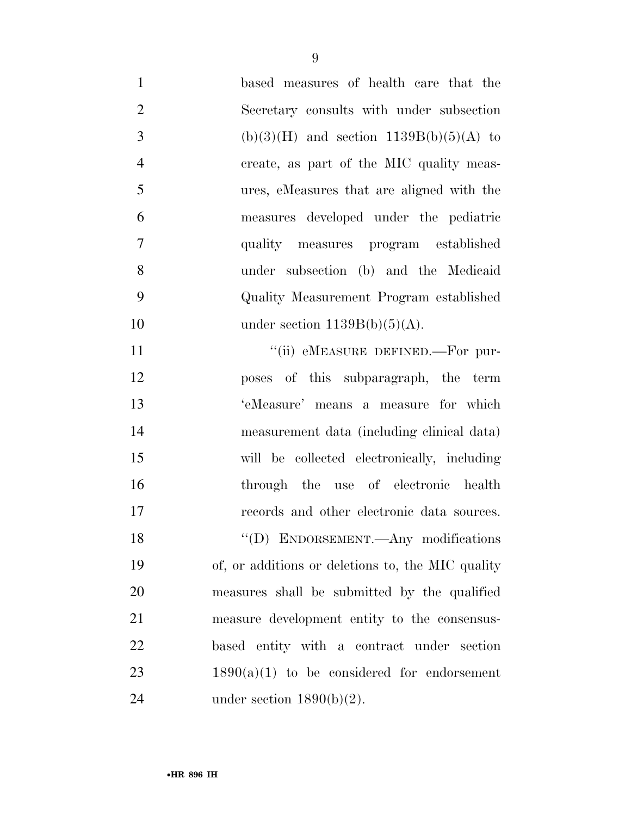| $\mathbf{1}$   | based measures of health care that the            |
|----------------|---------------------------------------------------|
| $\overline{2}$ | Secretary consults with under subsection          |
| 3              | $(b)(3)(H)$ and section 1139B $(b)(5)(A)$ to      |
| $\overline{4}$ | create, as part of the MIC quality meas-          |
| 5              | ures, eMeasures that are aligned with the         |
| 6              | measures developed under the pediatric            |
| $\tau$         | quality measures program established              |
| 8              | under subsection (b) and the Medicaid             |
| 9              | Quality Measurement Program established           |
| 10             | under section $1139B(b)(5)(A)$ .                  |
| 11             | "(ii) eMEASURE DEFINED.—For pur-                  |
| 12             | poses of this subparagraph, the term              |
| 13             | 'eMeasure' means a measure for which              |
| 14             | measurement data (including clinical data)        |
| 15             | will be collected electronically, including       |
| 16             | through the use of electronic health              |
| 17             | records and other electronic data sources.        |
| 18             | "(D) ENDORSEMENT.—Any modifications               |
| 19             | of, or additions or deletions to, the MIC quality |
| 20             | measures shall be submitted by the qualified      |
| 21             | measure development entity to the consensus-      |
| 22             | based entity with a contract under section        |
| 23             | $1890(a)(1)$ to be considered for endorsement     |
| 24             | under section $1890(b)(2)$ .                      |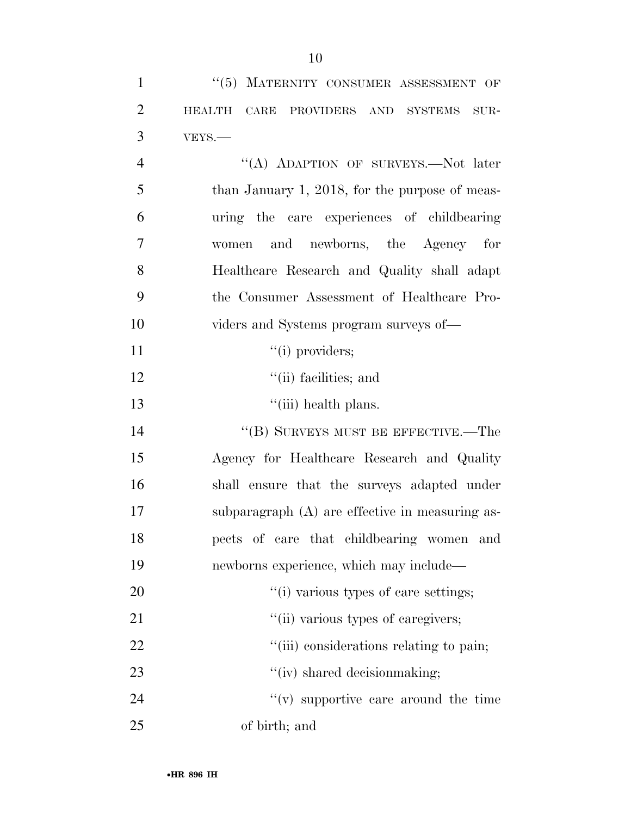| $\mathbf{1}$   | "(5) MATERNITY CONSUMER ASSESSMENT OF               |
|----------------|-----------------------------------------------------|
| $\overline{2}$ | CARE PROVIDERS AND SYSTEMS<br><b>HEALTH</b><br>SUR- |
| 3              | VEYS.-                                              |
| $\overline{4}$ | "(A) ADAPTION OF SURVEYS.—Not later                 |
| 5              | than January 1, 2018, for the purpose of meas-      |
| 6              | uring the care experiences of childbearing          |
| 7              | women and newborns, the Agency for                  |
| 8              | Healthcare Research and Quality shall adapt         |
| 9              | the Consumer Assessment of Healthcare Pro-          |
| 10             | viders and Systems program surveys of—              |
| 11             | $``(i)$ providers;                                  |
| 12             | $\lq\lq$ (ii) facilities; and                       |
| 13             | "(iii) health plans.                                |
| 14             | "(B) SURVEYS MUST BE EFFECTIVE.—The                 |
| 15             | Agency for Healthcare Research and Quality          |
| 16             | shall ensure that the surveys adapted under         |
| 17             | subparagraph $(A)$ are effective in measuring as-   |
| 18             | pects of care that childbearing women and           |
| 19             | newborns experience, which may include—             |
| 20             | "(i) various types of care settings;                |
| 21             | "(ii) various types of caregivers;                  |
| 22             | "(iii) considerations relating to pain;             |
| 23             | "(iv) shared decision making;                       |
| 24             | $f'(v)$ supportive care around the time             |
| 25             | of birth; and                                       |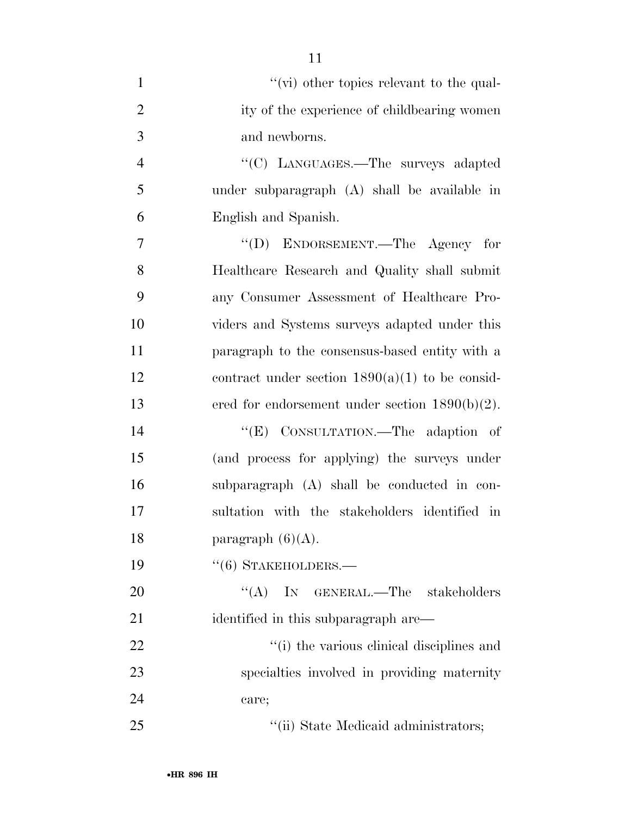| $\mathbf{1}$   | $\lq\lq$ (vi) other topics relevant to the qual-  |
|----------------|---------------------------------------------------|
| $\overline{2}$ | ity of the experience of childbearing women       |
| 3              | and newborns.                                     |
| $\overline{4}$ | "(C) LANGUAGES.—The surveys adapted               |
| 5              | under subparagraph (A) shall be available in      |
| 6              | English and Spanish.                              |
| $\overline{7}$ | "(D) ENDORSEMENT.—The Agency for                  |
| 8              | Healthcare Research and Quality shall submit      |
| 9              | any Consumer Assessment of Healthcare Pro-        |
| 10             | viders and Systems surveys adapted under this     |
| 11             | paragraph to the consensus-based entity with a    |
| 12             | contract under section $1890(a)(1)$ to be consid- |
| 13             | ered for endorsement under section $1890(b)(2)$ . |
| 14             | "(E) CONSULTATION.—The adaption of                |
| 15             | (and process for applying) the surveys under      |
| 16             | subparagraph (A) shall be conducted in con-       |
| 17             | sultation with the stakeholders identified in     |
| 18             | paragraph $(6)(A)$ .                              |
| 19             | $``(6)$ STAKEHOLDERS.—                            |
| 20             | $\lq\lq$ (A) IN GENERAL.—The stakeholders         |
| 21             | identified in this subparagraph are—              |
| 22             | "(i) the various clinical disciplines and         |
| 23             | specialties involved in providing maternity       |
| 24             | care;                                             |
| 25             | "(ii) State Medicaid administrators;              |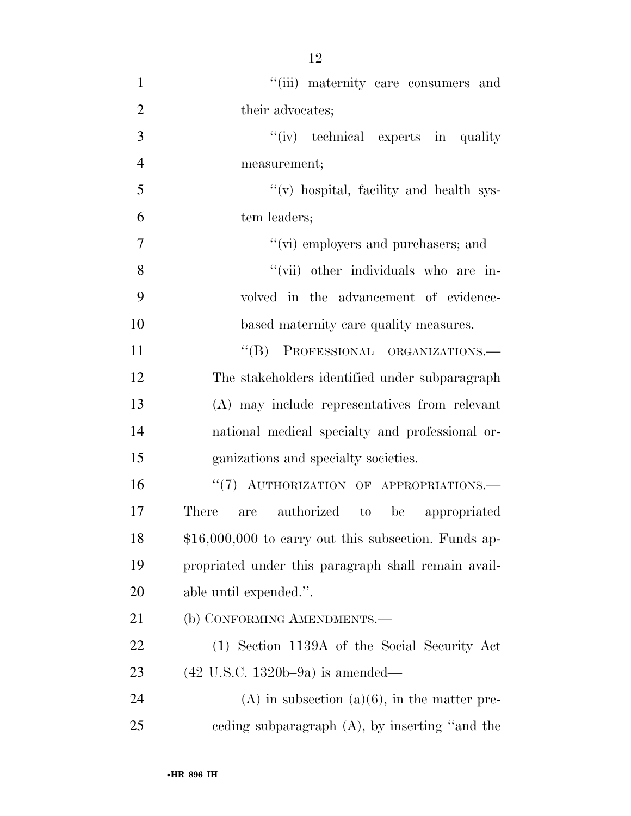| $\mathbf{1}$   | "(iii) maternity care consumers and                   |
|----------------|-------------------------------------------------------|
| $\overline{2}$ | their advocates;                                      |
| 3              | "(iv) technical experts in quality"                   |
| $\overline{4}$ | measurement;                                          |
| 5              | "(v) hospital, facility and health sys-               |
| 6              | tem leaders;                                          |
| 7              | "(vi) employers and purchasers; and                   |
| 8              | "(vii) other individuals who are in-                  |
| 9              | volved in the advancement of evidence-                |
| 10             | based maternity care quality measures.                |
| 11             | "(B) PROFESSIONAL ORGANIZATIONS.-                     |
| 12             | The stakeholders identified under subparagraph        |
| 13             | (A) may include representatives from relevant         |
| 14             | national medical specialty and professional or-       |
| 15             | ganizations and specialty societies.                  |
| 16             | "(7) AUTHORIZATION OF APPROPRIATIONS.                 |
| 17             | are authorized to<br>There<br>be appropriated         |
| 18             | $$16,000,000$ to carry out this subsection. Funds ap- |
| 19             | propriated under this paragraph shall remain avail-   |
| 20             | able until expended.".                                |
| 21             | (b) CONFORMING AMENDMENTS.—                           |
| 22             | (1) Section 1139A of the Social Security Act          |
| 23             | $(42 \text{ U.S.C. } 1320b - 9a)$ is amended—         |
| 24             | $(A)$ in subsection $(a)(6)$ , in the matter pre-     |
| 25             | ceding subparagraph $(A)$ , by inserting "and the     |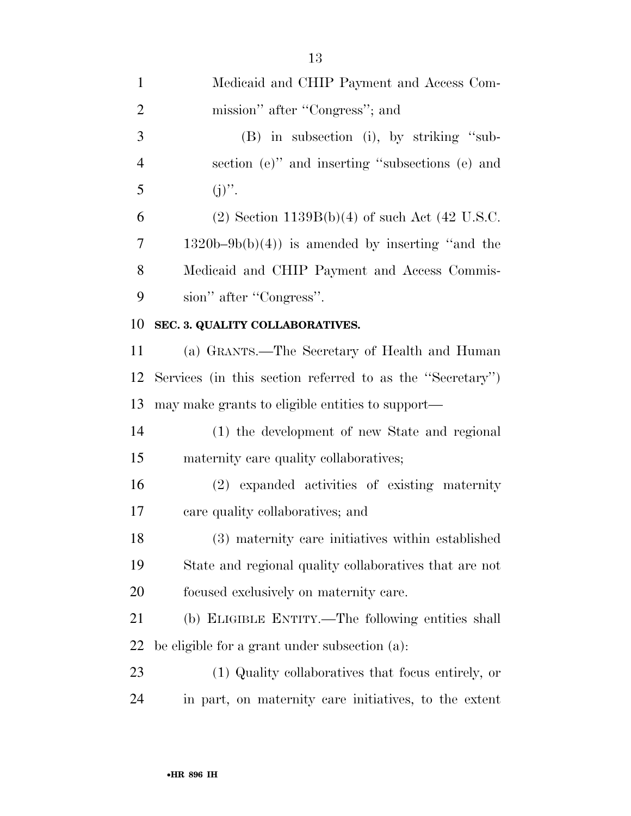| $\mathbf{1}$   | Medicaid and CHIP Payment and Access Com-                 |
|----------------|-----------------------------------------------------------|
| $\overline{2}$ | mission" after "Congress"; and                            |
| 3              | $(B)$ in subsection (i), by striking "sub-                |
| $\overline{4}$ | section (e)" and inserting "subsections (e) and           |
| 5              | $(j)$ ".                                                  |
| 6              | (2) Section $1139B(b)(4)$ of such Act (42 U.S.C.          |
| 7              | $1320b-9b(b)(4)$ is amended by inserting "and the         |
| 8              | Medicaid and CHIP Payment and Access Commis-              |
| 9              | sion" after "Congress".                                   |
| 10             | SEC. 3. QUALITY COLLABORATIVES.                           |
| 11             | (a) GRANTS.—The Secretary of Health and Human             |
| 12             | Services (in this section referred to as the "Secretary") |
| 13             | may make grants to eligible entities to support—          |
| 14             | (1) the development of new State and regional             |
| 15             | maternity care quality collaboratives;                    |
| 16             | (2) expanded activities of existing maternity             |
| 17             | care quality collaboratives; and                          |
| 18             | (3) maternity care initiatives within established         |
| 19             | State and regional quality collaboratives that are not    |
| 20             | focused exclusively on maternity care.                    |
| 21             | (b) ELIGIBLE ENTITY.—The following entities shall         |
| 22             | be eligible for a grant under subsection (a).             |
| 23             | (1) Quality collaboratives that focus entirely, or        |
| 24             | in part, on maternity care initiatives, to the extent     |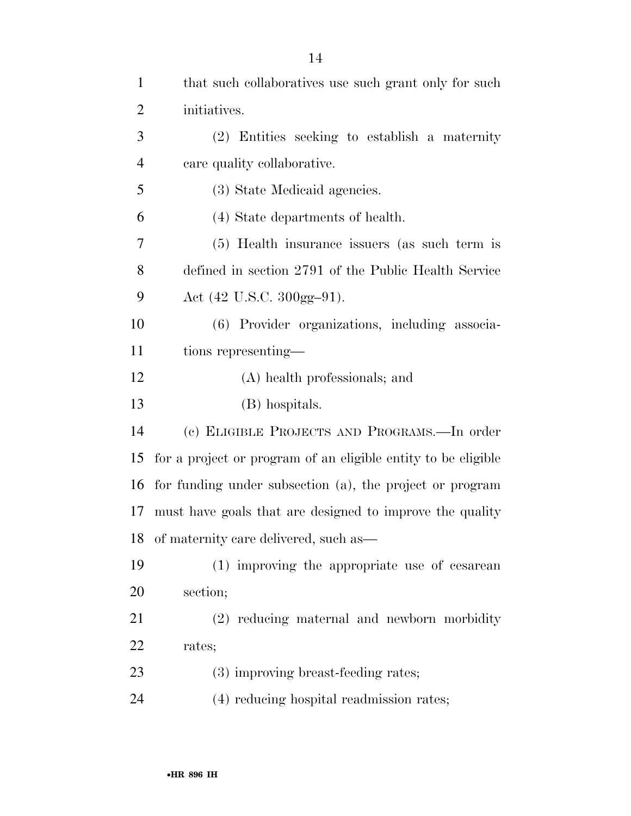| $\mathbf{1}$   | that such collaboratives use such grant only for such         |
|----------------|---------------------------------------------------------------|
| 2              | initiatives.                                                  |
| 3              | (2) Entities seeking to establish a maternity                 |
| $\overline{4}$ | care quality collaborative.                                   |
| 5              | (3) State Medicaid agencies.                                  |
| 6              | (4) State departments of health.                              |
| 7              | (5) Health insurance issuers (as such term is                 |
| 8              | defined in section 2791 of the Public Health Service          |
| 9              | Act (42 U.S.C. 300gg-91).                                     |
| 10             | (6) Provider organizations, including associa-                |
| 11             | tions representing—                                           |
| 12             | (A) health professionals; and                                 |
| 13             | (B) hospitals.                                                |
| 14             | (c) ELIGIBLE PROJECTS AND PROGRAMS.—In order                  |
| 15             | for a project or program of an eligible entity to be eligible |
| 16             | for funding under subsection (a), the project or program      |
| 17             | must have goals that are designed to improve the quality      |
| 18             | of maternity care delivered, such as—                         |
| 19             | (1) improving the appropriate use of cesarean                 |
| <b>20</b>      | section;                                                      |
| 21             | (2) reducing maternal and newborn morbidity                   |
| 22             | rates;                                                        |
| 23             | (3) improving breast-feeding rates;                           |
| 24             | (4) reducing hospital readmission rates;                      |
|                |                                                               |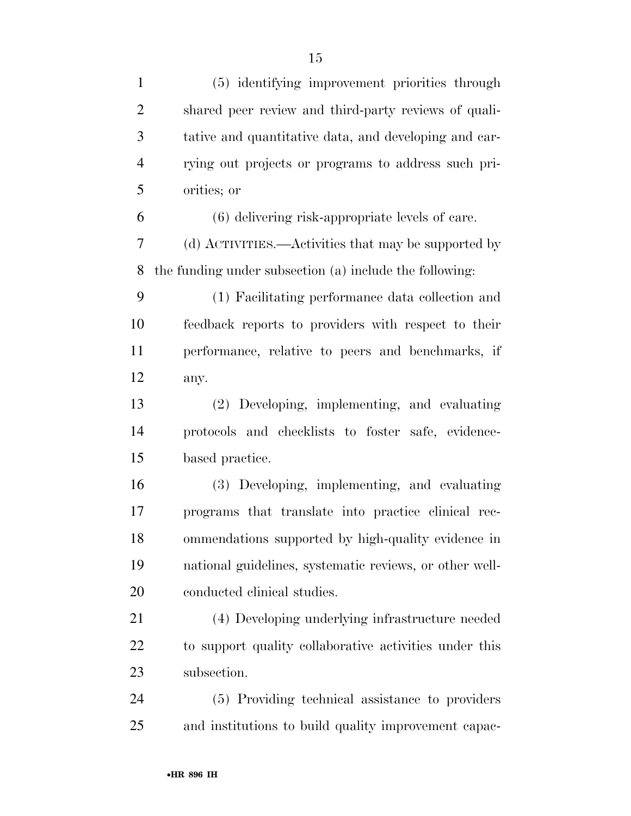| $\mathbf{1}$   | (5) identifying improvement priorities through          |
|----------------|---------------------------------------------------------|
| $\overline{2}$ | shared peer review and third-party reviews of quali-    |
| 3              | tative and quantitative data, and developing and car-   |
| $\overline{4}$ | rying out projects or programs to address such pri-     |
| 5              | orities; or                                             |
| 6              | (6) delivering risk-appropriate levels of care.         |
| $\overline{7}$ | (d) ACTIVITIES.—Activities that may be supported by     |
| 8              | the funding under subsection (a) include the following: |
| 9              | (1) Facilitating performance data collection and        |
| 10             | feedback reports to providers with respect to their     |
| 11             | performance, relative to peers and benchmarks, if       |
| 12             | any.                                                    |
| 13             | (2) Developing, implementing, and evaluating            |
| 14             | protocols and checklists to foster safe, evidence-      |
| 15             | based practice.                                         |
| 16             | (3) Developing, implementing, and evaluating            |
| 17             | programs that translate into practice clinical rec-     |
| 18             | ommendations supported by high-quality evidence in      |
| 19             | national guidelines, systematic reviews, or other well- |
| 20             | conducted clinical studies.                             |
| 21             | (4) Developing underlying infrastructure needed         |
| 22             | to support quality collaborative activities under this  |
| 23             | subsection.                                             |
| 24             | (5) Providing technical assistance to providers         |
| 25             | and institutions to build quality improvement capac-    |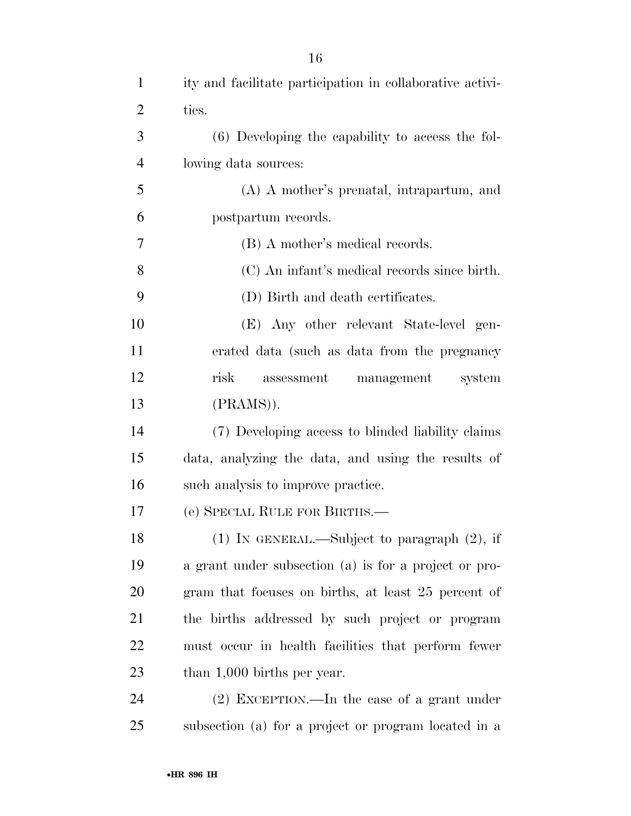| $\mathbf{1}$   | ity and facilitate participation in collaborative activi- |
|----------------|-----------------------------------------------------------|
| $\overline{2}$ | ties.                                                     |
| 3              | (6) Developing the capability to access the fol-          |
| $\overline{4}$ | lowing data sources:                                      |
| 5              | $(A)$ A mother's prenatal, intrapartum, and               |
| 6              | postpartum records.                                       |
| 7              | (B) A mother's medical records.                           |
| 8              | (C) An infant's medical records since birth.              |
| 9              | (D) Birth and death certificates.                         |
| 10             | (E) Any other relevant State-level gen-                   |
| 11             | erated data (such as data from the pregnancy              |
| 12             | risk<br>management<br>assessment<br>system                |
| 13             | $(PRAMS)$ .                                               |
| 14             | (7) Developing access to blinded liability claims         |
| 15             | data, analyzing the data, and using the results of        |
| 16             | such analysis to improve practice.                        |
| 17             | (e) SPECIAL RULE FOR BIRTHS.—                             |
| 18             | $(1)$ IN GENERAL.—Subject to paragraph $(2)$ , if         |
| 19             | a grant under subsection (a) is for a project or pro-     |
| 20             | gram that focuses on births, at least 25 percent of       |
| 21             | the births addressed by such project or program           |
| 22             | must occur in health facilities that perform fewer        |
| 23             | than $1,000$ births per year.                             |
| 24             | $(2)$ EXCEPTION.—In the case of a grant under             |
| 25             | subsection (a) for a project or program located in a      |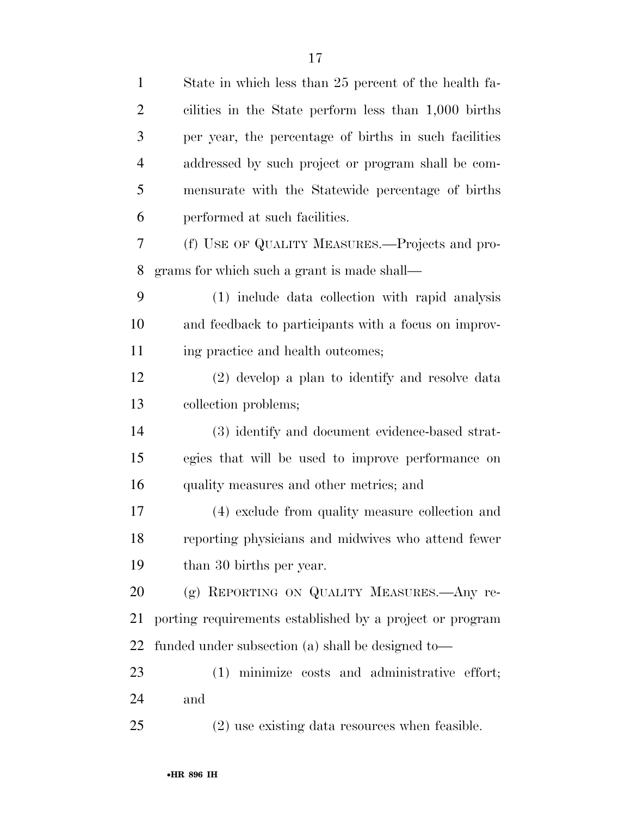| $\mathbf{1}$   | State in which less than 25 percent of the health fa-    |
|----------------|----------------------------------------------------------|
| $\overline{2}$ | cilities in the State perform less than 1,000 births     |
| 3              | per year, the percentage of births in such facilities    |
| $\overline{4}$ | addressed by such project or program shall be com-       |
| 5              | mensurate with the Statewide percentage of births        |
| 6              | performed at such facilities.                            |
| 7              | (f) USE OF QUALITY MEASURES.—Projects and pro-           |
| 8              | grams for which such a grant is made shall—              |
| 9              | (1) include data collection with rapid analysis          |
| 10             | and feedback to participants with a focus on improv-     |
| 11             | ing practice and health outcomes;                        |
| 12             | (2) develop a plan to identify and resolve data          |
| 13             | collection problems;                                     |
| 14             | (3) identify and document evidence-based strat-          |
| 15             | egies that will be used to improve performance on        |
| 16             | quality measures and other metrics; and                  |
| 17             | (4) exclude from quality measure collection and          |
| 18             | reporting physicians and midwives who attend fewer       |
| 19             | than 30 births per year.                                 |
| 20             | (g) REPORTING ON QUALITY MEASURES. Any re-               |
| 21             | porting requirements established by a project or program |
| 22             | funded under subsection (a) shall be designed to—        |
| 23             | (1) minimize costs and administrative effort;            |
| 24             | and                                                      |
| 25             | (2) use existing data resources when feasible.           |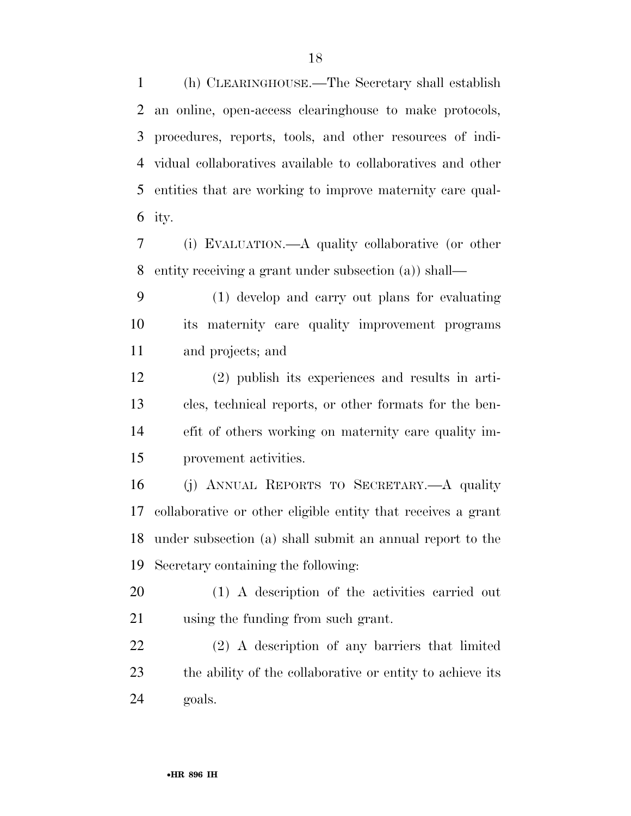(h) CLEARINGHOUSE.—The Secretary shall establish an online, open-access clearinghouse to make protocols, procedures, reports, tools, and other resources of indi- vidual collaboratives available to collaboratives and other entities that are working to improve maternity care qual-ity.

 (i) EVALUATION.—A quality collaborative (or other entity receiving a grant under subsection (a)) shall—

 (1) develop and carry out plans for evaluating its maternity care quality improvement programs and projects; and

 (2) publish its experiences and results in arti- cles, technical reports, or other formats for the ben- efit of others working on maternity care quality im-provement activities.

 (j) ANNUAL REPORTS TO SECRETARY.—A quality collaborative or other eligible entity that receives a grant under subsection (a) shall submit an annual report to the Secretary containing the following:

 (1) A description of the activities carried out using the funding from such grant.

 (2) A description of any barriers that limited the ability of the collaborative or entity to achieve its goals.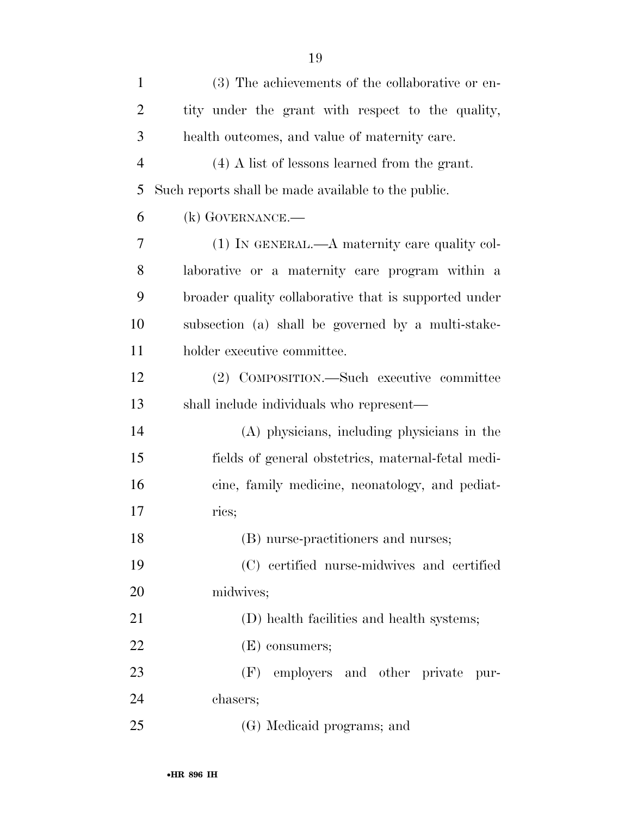| $\mathbf{1}$   | (3) The achievements of the collaborative or en-      |
|----------------|-------------------------------------------------------|
| $\overline{2}$ | tity under the grant with respect to the quality,     |
| 3              | health outcomes, and value of maternity care.         |
| $\overline{4}$ | $(4)$ A list of lessons learned from the grant.       |
| 5              | Such reports shall be made available to the public.   |
| 6              | $(k)$ GOVERNANCE.—                                    |
| 7              | (1) IN GENERAL.—A maternity care quality col-         |
| 8              | laborative or a maternity care program within a       |
| 9              | broader quality collaborative that is supported under |
| 10             | subsection (a) shall be governed by a multi-stake-    |
| 11             | holder executive committee.                           |
| 12             | (2) COMPOSITION.—Such executive committee             |
| 13             | shall include individuals who represent—              |
| 14             | (A) physicians, including physicians in the           |
| 15             | fields of general obstetries, maternal-fetal medi-    |
| 16             | cine, family medicine, neonatology, and pediat-       |
| 17             | rics;                                                 |
| 18             | (B) nurse-practitioners and nurses;                   |
| 19             | (C) certified nurse-midwives and certified            |
| 20             | midwives;                                             |
| 21             | (D) health facilities and health systems;             |

(E) consumers;

 (F) employers and other private pur-chasers;

(G) Medicaid programs; and